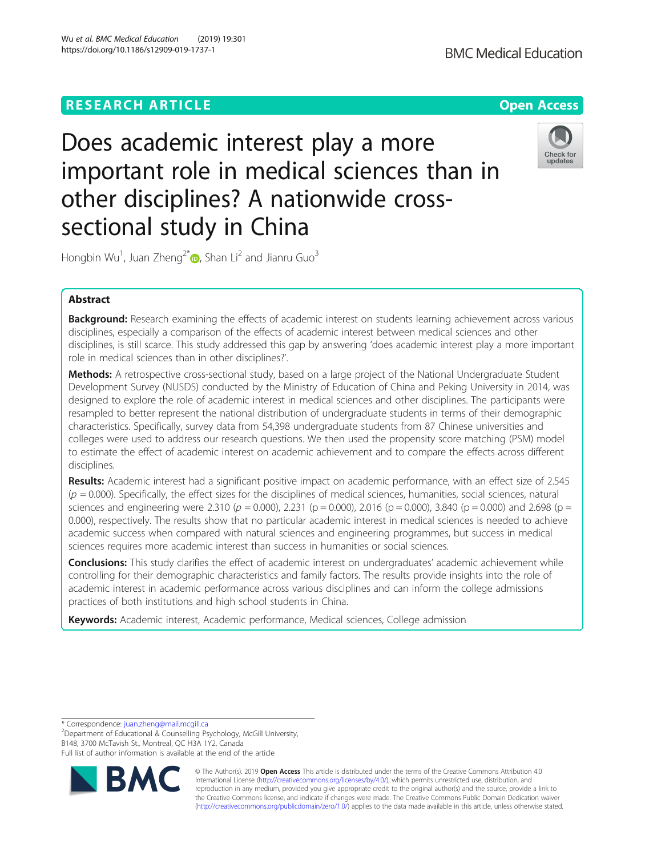Wu et al. BMC Medical Education (2019) 19:301 https://doi.org/10.1186/s12909-019-1737-1

# Does academic interest play a more important role in medical sciences than in other disciplines? A nationwide crosssectional study in China



Hongbin Wu<sup>1</sup>, Juan Zheng<sup>2\*</sup>. Shan Li<sup>2</sup> and Jianru Guo<sup>3</sup>

# Abstract

Background: Research examining the effects of academic interest on students learning achievement across various disciplines, especially a comparison of the effects of academic interest between medical sciences and other disciplines, is still scarce. This study addressed this gap by answering 'does academic interest play a more important role in medical sciences than in other disciplines?'.

Methods: A retrospective cross-sectional study, based on a large project of the National Undergraduate Student Development Survey (NUSDS) conducted by the Ministry of Education of China and Peking University in 2014, was designed to explore the role of academic interest in medical sciences and other disciplines. The participants were resampled to better represent the national distribution of undergraduate students in terms of their demographic characteristics. Specifically, survey data from 54,398 undergraduate students from 87 Chinese universities and colleges were used to address our research questions. We then used the propensity score matching (PSM) model to estimate the effect of academic interest on academic achievement and to compare the effects across different disciplines.

Results: Academic interest had a significant positive impact on academic performance, with an effect size of 2.545  $(p = 0.000)$ . Specifically, the effect sizes for the disciplines of medical sciences, humanities, social sciences, natural sciences and engineering were 2.310 ( $p = 0.000$ ), 2.231 (p = 0.000), 2.016 (p = 0.000), 3.840 (p = 0.000) and 2.698 (p = 0.000), respectively. The results show that no particular academic interest in medical sciences is needed to achieve academic success when compared with natural sciences and engineering programmes, but success in medical sciences requires more academic interest than success in humanities or social sciences.

Conclusions: This study clarifies the effect of academic interest on undergraduates' academic achievement while controlling for their demographic characteristics and family factors. The results provide insights into the role of academic interest in academic performance across various disciplines and can inform the college admissions practices of both institutions and high school students in China.

Keywords: Academic interest, Academic performance, Medical sciences, College admission

\* Correspondence: [juan.zheng@mail.mcgill.ca](mailto:juan.zheng@mail.mcgill.ca) <sup>2</sup>

<sup>2</sup>Department of Educational & Counselling Psychology, McGill University, B148, 3700 McTavish St., Montreal, QC H3A 1Y2, Canada Full list of author information is available at the end of the article



© The Author(s). 2019 **Open Access** This article is distributed under the terms of the Creative Commons Attribution 4.0 International License [\(http://creativecommons.org/licenses/by/4.0/](http://creativecommons.org/licenses/by/4.0/)), which permits unrestricted use, distribution, and reproduction in any medium, provided you give appropriate credit to the original author(s) and the source, provide a link to the Creative Commons license, and indicate if changes were made. The Creative Commons Public Domain Dedication waiver [\(http://creativecommons.org/publicdomain/zero/1.0/](http://creativecommons.org/publicdomain/zero/1.0/)) applies to the data made available in this article, unless otherwise stated.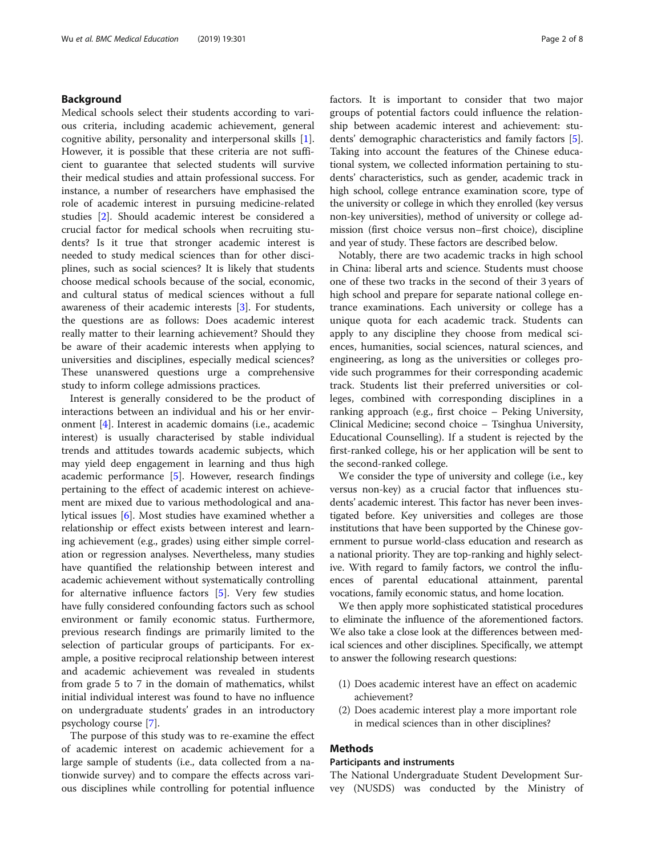# Background

Medical schools select their students according to various criteria, including academic achievement, general cognitive ability, personality and interpersonal skills [\[1](#page-7-0)]. However, it is possible that these criteria are not sufficient to guarantee that selected students will survive their medical studies and attain professional success. For instance, a number of researchers have emphasised the role of academic interest in pursuing medicine-related studies [\[2](#page-7-0)]. Should academic interest be considered a crucial factor for medical schools when recruiting students? Is it true that stronger academic interest is needed to study medical sciences than for other disciplines, such as social sciences? It is likely that students choose medical schools because of the social, economic, and cultural status of medical sciences without a full awareness of their academic interests [\[3](#page-7-0)]. For students, the questions are as follows: Does academic interest really matter to their learning achievement? Should they be aware of their academic interests when applying to universities and disciplines, especially medical sciences? These unanswered questions urge a comprehensive study to inform college admissions practices.

Interest is generally considered to be the product of interactions between an individual and his or her environment [[4\]](#page-7-0). Interest in academic domains (i.e., academic interest) is usually characterised by stable individual trends and attitudes towards academic subjects, which may yield deep engagement in learning and thus high academic performance [[5\]](#page-7-0). However, research findings pertaining to the effect of academic interest on achievement are mixed due to various methodological and analytical issues [\[6](#page-7-0)]. Most studies have examined whether a relationship or effect exists between interest and learning achievement (e.g., grades) using either simple correlation or regression analyses. Nevertheless, many studies have quantified the relationship between interest and academic achievement without systematically controlling for alternative influence factors [[5\]](#page-7-0). Very few studies have fully considered confounding factors such as school environment or family economic status. Furthermore, previous research findings are primarily limited to the selection of particular groups of participants. For example, a positive reciprocal relationship between interest and academic achievement was revealed in students from grade 5 to 7 in the domain of mathematics, whilst initial individual interest was found to have no influence on undergraduate students' grades in an introductory psychology course [\[7](#page-7-0)].

The purpose of this study was to re-examine the effect of academic interest on academic achievement for a large sample of students (i.e., data collected from a nationwide survey) and to compare the effects across various disciplines while controlling for potential influence factors. It is important to consider that two major groups of potential factors could influence the relationship between academic interest and achievement: students' demographic characteristics and family factors [[5](#page-7-0)]. Taking into account the features of the Chinese educational system, we collected information pertaining to students' characteristics, such as gender, academic track in high school, college entrance examination score, type of the university or college in which they enrolled (key versus non-key universities), method of university or college admission (first choice versus non–first choice), discipline and year of study. These factors are described below.

Notably, there are two academic tracks in high school in China: liberal arts and science. Students must choose one of these two tracks in the second of their 3 years of high school and prepare for separate national college entrance examinations. Each university or college has a unique quota for each academic track. Students can apply to any discipline they choose from medical sciences, humanities, social sciences, natural sciences, and engineering, as long as the universities or colleges provide such programmes for their corresponding academic track. Students list their preferred universities or colleges, combined with corresponding disciplines in a ranking approach (e.g., first choice – Peking University, Clinical Medicine; second choice – Tsinghua University, Educational Counselling). If a student is rejected by the first-ranked college, his or her application will be sent to the second-ranked college.

We consider the type of university and college (i.e., key versus non-key) as a crucial factor that influences students' academic interest. This factor has never been investigated before. Key universities and colleges are those institutions that have been supported by the Chinese government to pursue world-class education and research as a national priority. They are top-ranking and highly selective. With regard to family factors, we control the influences of parental educational attainment, parental vocations, family economic status, and home location.

We then apply more sophisticated statistical procedures to eliminate the influence of the aforementioned factors. We also take a close look at the differences between medical sciences and other disciplines. Specifically, we attempt to answer the following research questions:

- (1) Does academic interest have an effect on academic achievement?
- (2) Does academic interest play a more important role in medical sciences than in other disciplines?

# Methods

### Participants and instruments

The National Undergraduate Student Development Survey (NUSDS) was conducted by the Ministry of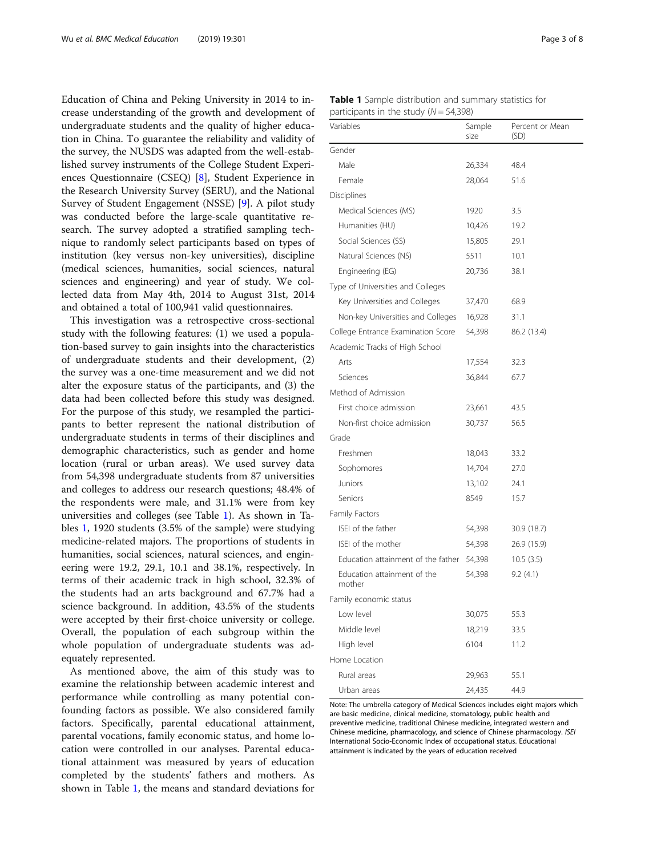Education of China and Peking University in 2014 to increase understanding of the growth and development of undergraduate students and the quality of higher education in China. To guarantee the reliability and validity of the survey, the NUSDS was adapted from the well-established survey instruments of the College Student Experiences Questionnaire (CSEQ) [[8\]](#page-7-0), Student Experience in the Research University Survey (SERU), and the National Survey of Student Engagement (NSSE) [\[9\]](#page-7-0). A pilot study was conducted before the large-scale quantitative research. The survey adopted a stratified sampling technique to randomly select participants based on types of institution (key versus non-key universities), discipline (medical sciences, humanities, social sciences, natural sciences and engineering) and year of study. We collected data from May 4th, 2014 to August 31st, 2014 and obtained a total of 100,941 valid questionnaires.

This investigation was a retrospective cross-sectional study with the following features: (1) we used a population-based survey to gain insights into the characteristics of undergraduate students and their development, (2) the survey was a one-time measurement and we did not alter the exposure status of the participants, and (3) the data had been collected before this study was designed. For the purpose of this study, we resampled the participants to better represent the national distribution of undergraduate students in terms of their disciplines and demographic characteristics, such as gender and home location (rural or urban areas). We used survey data from 54,398 undergraduate students from 87 universities and colleges to address our research questions; 48.4% of the respondents were male, and 31.1% were from key universities and colleges (see Table 1). As shown in Tables 1, 1920 students (3.5% of the sample) were studying medicine-related majors. The proportions of students in humanities, social sciences, natural sciences, and engineering were 19.2, 29.1, 10.1 and 38.1%, respectively. In terms of their academic track in high school, 32.3% of the students had an arts background and 67.7% had a science background. In addition, 43.5% of the students were accepted by their first-choice university or college. Overall, the population of each subgroup within the whole population of undergraduate students was adequately represented.

As mentioned above, the aim of this study was to examine the relationship between academic interest and performance while controlling as many potential confounding factors as possible. We also considered family factors. Specifically, parental educational attainment, parental vocations, family economic status, and home location were controlled in our analyses. Parental educational attainment was measured by years of education completed by the students' fathers and mothers. As shown in Table 1, the means and standard deviations for

|  | <b>Table 1</b> Sample distribution and summary statistics for |  |  |
|--|---------------------------------------------------------------|--|--|
|  | participants in the study $(N = 54,398)$                      |  |  |

| $P1$ parallel in the statifier<br>- 7-20 |                |                         |
|------------------------------------------|----------------|-------------------------|
| Variables                                | Sample<br>size | Percent or Mean<br>(SD) |
| Gender                                   |                |                         |
| Male                                     | 26,334         | 48.4                    |
| Female                                   | 28,064         | 51.6                    |
| Disciplines                              |                |                         |
| Medical Sciences (MS)                    | 1920           | 3.5                     |
| Humanities (HU)                          | 10,426         | 19.2                    |
| Social Sciences (SS)                     | 15,805         | 29.1                    |
| Natural Sciences (NS)                    | 5511           | 10.1                    |
| Engineering (EG)                         | 20,736         | 38.1                    |
| Type of Universities and Colleges        |                |                         |
| Key Universities and Colleges            | 37,470         | 68.9                    |
| Non-key Universities and Colleges        | 16,928         | 31.1                    |
| College Entrance Examination Score       | 54,398         | 86.2 (13.4)             |
| Academic Tracks of High School           |                |                         |
| Arts                                     | 17,554         | 32.3                    |
| Sciences                                 | 36,844         | 67.7                    |
| Method of Admission                      |                |                         |
| First choice admission                   | 23,661         | 43.5                    |
| Non-first choice admission               | 30,737         | 56.5                    |
| Grade                                    |                |                         |
| Freshmen                                 | 18,043         | 33.2                    |
| Sophomores                               | 14,704         | 27.0                    |
| Juniors                                  | 13,102         | 24.1                    |
| Seniors                                  | 8549           | 15.7                    |
| Family Factors                           |                |                         |
| ISEI of the father                       | 54,398         | 30.9 (18.7)             |
| ISEI of the mother                       | 54,398         | 26.9 (15.9)             |
| Education attainment of the father       | 54,398         | 10.5(3.5)               |
| Education attainment of the<br>mother    | 54,398         | 9.2(4.1)                |
| Family economic status                   |                |                         |
| Low level                                | 30,075         | 55.3                    |
| Middle level                             | 18,219         | 33.5                    |
| High level                               | 6104           | 11.2                    |
| Home Location                            |                |                         |
| Rural areas                              | 29,963         | 55.1                    |
| Urban areas                              | 24,435         | 44.9                    |

Note: The umbrella category of Medical Sciences includes eight majors which are basic medicine, clinical medicine, stomatology, public health and preventive medicine, traditional Chinese medicine, integrated western and Chinese medicine, pharmacology, and science of Chinese pharmacology. ISEI International Socio-Economic Index of occupational status. Educational attainment is indicated by the years of education received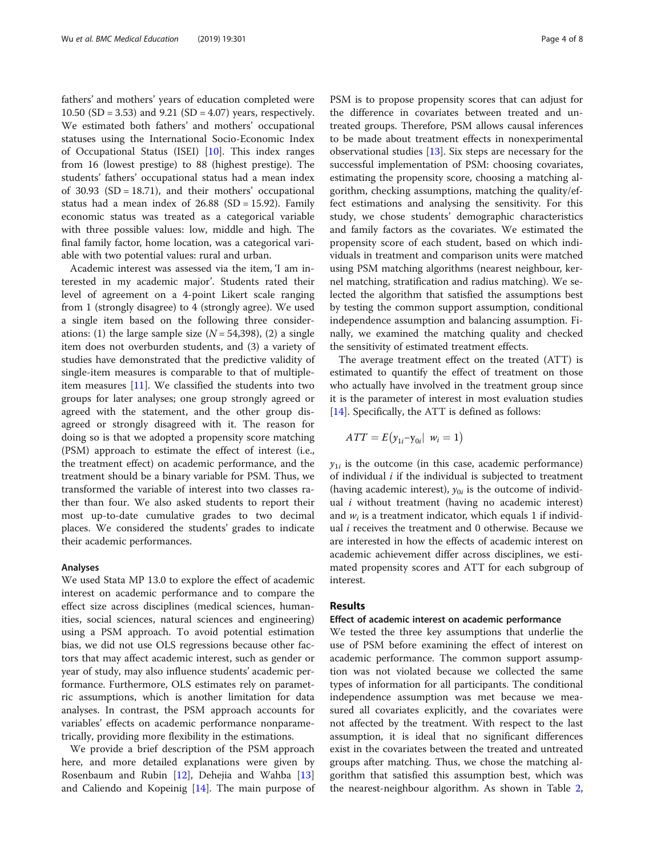fathers' and mothers' years of education completed were 10.50 (SD = 3.53) and 9.21 (SD = 4.07) years, respectively. We estimated both fathers' and mothers' occupational statuses using the International Socio-Economic Index of Occupational Status (ISEI) [\[10](#page-7-0)]. This index ranges from 16 (lowest prestige) to 88 (highest prestige). The students' fathers' occupational status had a mean index of  $30.93$  (SD = 18.71), and their mothers' occupational status had a mean index of  $26.88$  (SD = 15.92). Family economic status was treated as a categorical variable with three possible values: low, middle and high. The final family factor, home location, was a categorical variable with two potential values: rural and urban.

Academic interest was assessed via the item, 'I am interested in my academic major'. Students rated their level of agreement on a 4-point Likert scale ranging from 1 (strongly disagree) to 4 (strongly agree). We used a single item based on the following three considerations: (1) the large sample size ( $N = 54,398$ ), (2) a single item does not overburden students, and (3) a variety of studies have demonstrated that the predictive validity of single-item measures is comparable to that of multipleitem measures [[11](#page-7-0)]. We classified the students into two groups for later analyses; one group strongly agreed or agreed with the statement, and the other group disagreed or strongly disagreed with it. The reason for doing so is that we adopted a propensity score matching (PSM) approach to estimate the effect of interest (i.e., the treatment effect) on academic performance, and the treatment should be a binary variable for PSM. Thus, we transformed the variable of interest into two classes rather than four. We also asked students to report their most up-to-date cumulative grades to two decimal places. We considered the students' grades to indicate their academic performances.

#### Analyses

We used Stata MP 13.0 to explore the effect of academic interest on academic performance and to compare the effect size across disciplines (medical sciences, humanities, social sciences, natural sciences and engineering) using a PSM approach. To avoid potential estimation bias, we did not use OLS regressions because other factors that may affect academic interest, such as gender or year of study, may also influence students' academic performance. Furthermore, OLS estimates rely on parametric assumptions, which is another limitation for data analyses. In contrast, the PSM approach accounts for variables' effects on academic performance nonparametrically, providing more flexibility in the estimations.

We provide a brief description of the PSM approach here, and more detailed explanations were given by Rosenbaum and Rubin [\[12\]](#page-7-0), Dehejia and Wahba [[13](#page-7-0)] and Caliendo and Kopeinig [\[14](#page-7-0)]. The main purpose of

PSM is to propose propensity scores that can adjust for the difference in covariates between treated and untreated groups. Therefore, PSM allows causal inferences to be made about treatment effects in nonexperimental observational studies [[13](#page-7-0)]. Six steps are necessary for the successful implementation of PSM: choosing covariates, estimating the propensity score, choosing a matching algorithm, checking assumptions, matching the quality/effect estimations and analysing the sensitivity. For this study, we chose students' demographic characteristics and family factors as the covariates. We estimated the propensity score of each student, based on which individuals in treatment and comparison units were matched using PSM matching algorithms (nearest neighbour, kernel matching, stratification and radius matching). We selected the algorithm that satisfied the assumptions best by testing the common support assumption, conditional independence assumption and balancing assumption. Finally, we examined the matching quality and checked the sensitivity of estimated treatment effects.

The average treatment effect on the treated (ATT) is estimated to quantify the effect of treatment on those who actually have involved in the treatment group since it is the parameter of interest in most evaluation studies [[14\]](#page-7-0). Specifically, the ATT is defined as follows:

$$
ATT = E(y_{1i} - y_{0i} | w_i = 1)
$$

 $y_{1i}$  is the outcome (in this case, academic performance) of individual  $i$  if the individual is subjected to treatment (having academic interest),  $y_{0i}$  is the outcome of individual  $i$  without treatment (having no academic interest) and  $w_i$  is a treatment indicator, which equals 1 if individual  $i$  receives the treatment and 0 otherwise. Because we are interested in how the effects of academic interest on academic achievement differ across disciplines, we estimated propensity scores and ATT for each subgroup of interest.

# Results

# Effect of academic interest on academic performance

We tested the three key assumptions that underlie the use of PSM before examining the effect of interest on academic performance. The common support assumption was not violated because we collected the same types of information for all participants. The conditional independence assumption was met because we measured all covariates explicitly, and the covariates were not affected by the treatment. With respect to the last assumption, it is ideal that no significant differences exist in the covariates between the treated and untreated groups after matching. Thus, we chose the matching algorithm that satisfied this assumption best, which was the nearest-neighbour algorithm. As shown in Table [2](#page-4-0),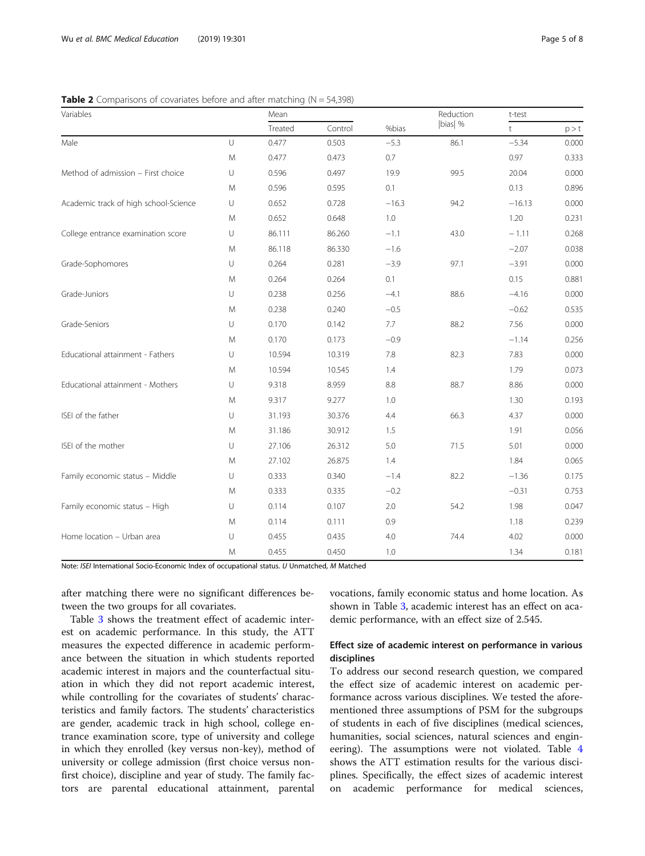<span id="page-4-0"></span>**Table 2** Comparisons of covariates before and after matching ( $N = 54,398$ )

| Variables                             |        | Mean    |         |         | Reduction | t-test   |       |
|---------------------------------------|--------|---------|---------|---------|-----------|----------|-------|
|                                       |        | Treated | Control | %bias   | bias %    | t        | p > t |
| Male                                  | $\cup$ | 0.477   | 0.503   | $-5.3$  | 86.1      | $-5.34$  | 0.000 |
|                                       | M      | 0.477   | 0.473   | 0.7     |           | 0.97     | 0.333 |
| Method of admission - First choice    | U      | 0.596   | 0.497   | 19.9    | 99.5      | 20.04    | 0.000 |
|                                       | M      | 0.596   | 0.595   | 0.1     |           | 0.13     | 0.896 |
| Academic track of high school-Science | U      | 0.652   | 0.728   | $-16.3$ | 94.2      | $-16.13$ | 0.000 |
|                                       | M      | 0.652   | 0.648   | 1.0     |           | 1.20     | 0.231 |
| College entrance examination score    | U      | 86.111  | 86.260  | $-1.1$  | 43.0      | $-1.11$  | 0.268 |
|                                       | M      | 86.118  | 86.330  | $-1.6$  |           | $-2.07$  | 0.038 |
| Grade-Sophomores                      | $\cup$ | 0.264   | 0.281   | $-3.9$  | 97.1      | $-3.91$  | 0.000 |
|                                       | M      | 0.264   | 0.264   | 0.1     |           | 0.15     | 0.881 |
| Grade-Juniors                         | $\cup$ | 0.238   | 0.256   | $-4.1$  | 88.6      | $-4.16$  | 0.000 |
|                                       | M      | 0.238   | 0.240   | $-0.5$  |           | $-0.62$  | 0.535 |
| Grade-Seniors                         | $\cup$ | 0.170   | 0.142   | 7.7     | 88.2      | 7.56     | 0.000 |
|                                       | M      | 0.170   | 0.173   | $-0.9$  |           | $-1.14$  | 0.256 |
| Educational attainment - Fathers      | $\cup$ | 10.594  | 10.319  | 7.8     | 82.3      | 7.83     | 0.000 |
|                                       | M      | 10.594  | 10.545  | 1.4     |           | 1.79     | 0.073 |
| Educational attainment - Mothers      | U      | 9.318   | 8.959   | 8.8     | 88.7      | 8.86     | 0.000 |
|                                       | M      | 9.317   | 9.277   | 1.0     |           | 1.30     | 0.193 |
| ISEI of the father                    | U      | 31.193  | 30.376  | 4.4     | 66.3      | 4.37     | 0.000 |
|                                       | M      | 31.186  | 30.912  | 1.5     |           | 1.91     | 0.056 |
| ISEI of the mother                    | U      | 27.106  | 26.312  | 5.0     | 71.5      | 5.01     | 0.000 |
|                                       | M      | 27.102  | 26.875  | 1.4     |           | 1.84     | 0.065 |
| Family economic status - Middle       | U      | 0.333   | 0.340   | $-1.4$  | 82.2      | $-1.36$  | 0.175 |
|                                       | M      | 0.333   | 0.335   | $-0.2$  |           | $-0.31$  | 0.753 |
| Family economic status - High         | U      | 0.114   | 0.107   | 2.0     | 54.2      | 1.98     | 0.047 |
|                                       | M      | 0.114   | 0.111   | 0.9     |           | 1.18     | 0.239 |
| Home location - Urban area            | U      | 0.455   | 0.435   | 4.0     | 74.4      | 4.02     | 0.000 |
|                                       | M      | 0.455   | 0.450   | 1.0     |           | 1.34     | 0.181 |

Note: ISEI International Socio-Economic Index of occupational status. U Unmatched, M Matched

after matching there were no significant differences between the two groups for all covariates.

Table [3](#page-5-0) shows the treatment effect of academic interest on academic performance. In this study, the ATT measures the expected difference in academic performance between the situation in which students reported academic interest in majors and the counterfactual situation in which they did not report academic interest, while controlling for the covariates of students' characteristics and family factors. The students' characteristics are gender, academic track in high school, college entrance examination score, type of university and college in which they enrolled (key versus non-key), method of university or college admission (first choice versus nonfirst choice), discipline and year of study. The family factors are parental educational attainment, parental vocations, family economic status and home location. As shown in Table [3,](#page-5-0) academic interest has an effect on academic performance, with an effect size of 2.545.

# Effect size of academic interest on performance in various disciplines

To address our second research question, we compared the effect size of academic interest on academic performance across various disciplines. We tested the aforementioned three assumptions of PSM for the subgroups of students in each of five disciplines (medical sciences, humanities, social sciences, natural sciences and engineering). The assumptions were not violated. Table [4](#page-5-0) shows the ATT estimation results for the various disciplines. Specifically, the effect sizes of academic interest on academic performance for medical sciences,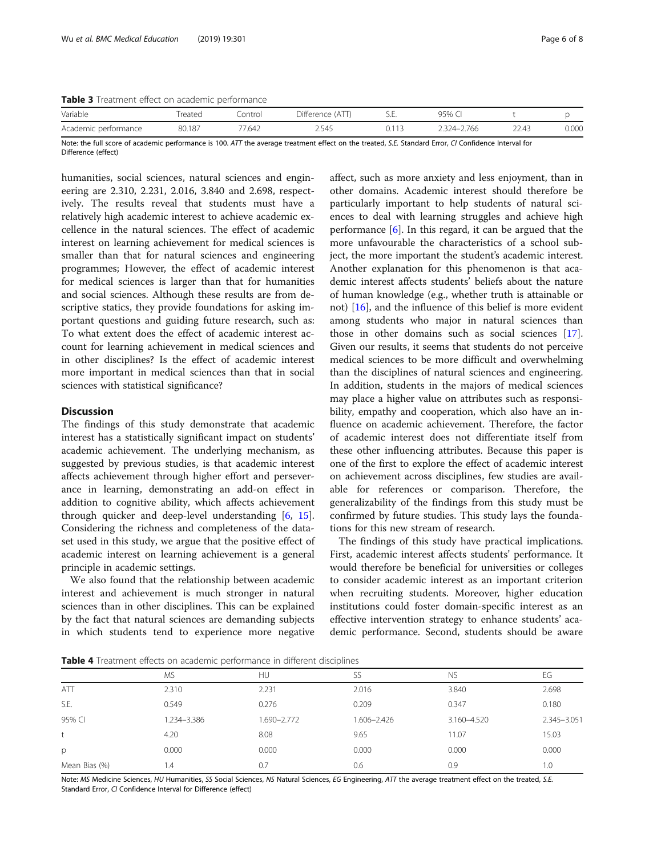<span id="page-5-0"></span>Table 3 Treatment effect on academic performance

| Variable             | <b>Treated</b> | Control | Difference (ATT) | . با اب | 95% C.                                                                                                                                                                                                                          |       |       |
|----------------------|----------------|---------|------------------|---------|---------------------------------------------------------------------------------------------------------------------------------------------------------------------------------------------------------------------------------|-------|-------|
| Academic performance | 80.187         | 77.642  | 2.545            | 0.113   | 2.324-2.766                                                                                                                                                                                                                     | 22.43 | 0.000 |
|                      |                |         |                  |         | $\sim$ . The contract of the contract of the contract of the contract of the contract of the contract of the contract of the contract of the contract of the contract of the contract of the contract of the contract of the co |       |       |

Note: the full score of academic performance is 100. ATT the average treatment effect on the treated, S.E. Standard Error, CI Confidence Interval for Difference (effect)

humanities, social sciences, natural sciences and engineering are 2.310, 2.231, 2.016, 3.840 and 2.698, respectively. The results reveal that students must have a relatively high academic interest to achieve academic excellence in the natural sciences. The effect of academic interest on learning achievement for medical sciences is smaller than that for natural sciences and engineering programmes; However, the effect of academic interest for medical sciences is larger than that for humanities and social sciences. Although these results are from descriptive statics, they provide foundations for asking important questions and guiding future research, such as: To what extent does the effect of academic interest account for learning achievement in medical sciences and in other disciplines? Is the effect of academic interest more important in medical sciences than that in social sciences with statistical significance?

# **Discussion**

The findings of this study demonstrate that academic interest has a statistically significant impact on students' academic achievement. The underlying mechanism, as suggested by previous studies, is that academic interest affects achievement through higher effort and perseverance in learning, demonstrating an add-on effect in addition to cognitive ability, which affects achievement through quicker and deep-level understanding [\[6](#page-7-0), [15](#page-7-0)]. Considering the richness and completeness of the dataset used in this study, we argue that the positive effect of academic interest on learning achievement is a general principle in academic settings.

We also found that the relationship between academic interest and achievement is much stronger in natural sciences than in other disciplines. This can be explained by the fact that natural sciences are demanding subjects in which students tend to experience more negative

affect, such as more anxiety and less enjoyment, than in other domains. Academic interest should therefore be particularly important to help students of natural sciences to deal with learning struggles and achieve high performance  $[6]$  $[6]$ . In this regard, it can be argued that the more unfavourable the characteristics of a school subject, the more important the student's academic interest. Another explanation for this phenomenon is that academic interest affects students' beliefs about the nature of human knowledge (e.g., whether truth is attainable or not) [[16\]](#page-7-0), and the influence of this belief is more evident among students who major in natural sciences than those in other domains such as social sciences [\[17](#page-7-0)]. Given our results, it seems that students do not perceive medical sciences to be more difficult and overwhelming than the disciplines of natural sciences and engineering. In addition, students in the majors of medical sciences may place a higher value on attributes such as responsibility, empathy and cooperation, which also have an influence on academic achievement. Therefore, the factor of academic interest does not differentiate itself from these other influencing attributes. Because this paper is one of the first to explore the effect of academic interest on achievement across disciplines, few studies are available for references or comparison. Therefore, the generalizability of the findings from this study must be confirmed by future studies. This study lays the foundations for this new stream of research.

The findings of this study have practical implications. First, academic interest affects students' performance. It would therefore be beneficial for universities or colleges to consider academic interest as an important criterion when recruiting students. Moreover, higher education institutions could foster domain-specific interest as an effective intervention strategy to enhance students' academic performance. Second, students should be aware

Table 4 Treatment effects on academic performance in different disciplines

|               | <b>MS</b>   | HU          | SS          | <b>NS</b>   | EG          |
|---------------|-------------|-------------|-------------|-------------|-------------|
| ATT           | 2.310       | 2.231       | 2.016       | 3.840       | 2.698       |
| S.E.          | 0.549       | 0.276       | 0.209       | 0.347       | 0.180       |
| 95% CI        | 1.234-3.386 | 1.690-2.772 | 1.606-2.426 | 3.160-4.520 | 2.345-3.051 |
|               | 4.20        | 8.08        | 9.65        | 11.07       | 15.03       |
| p             | 0.000       | 0.000       | 0.000       | 0.000       | 0.000       |
| Mean Bias (%) | 1.4         | 0.7         | 0.6         | 0.9         | 1.0         |
|               |             |             |             |             |             |

Note: MS Medicine Sciences, HU Humanities, SS Social Sciences, NS Natural Sciences, EG Engineering, ATT the average treatment effect on the treated, S.E. Standard Error, CI Confidence Interval for Difference (effect)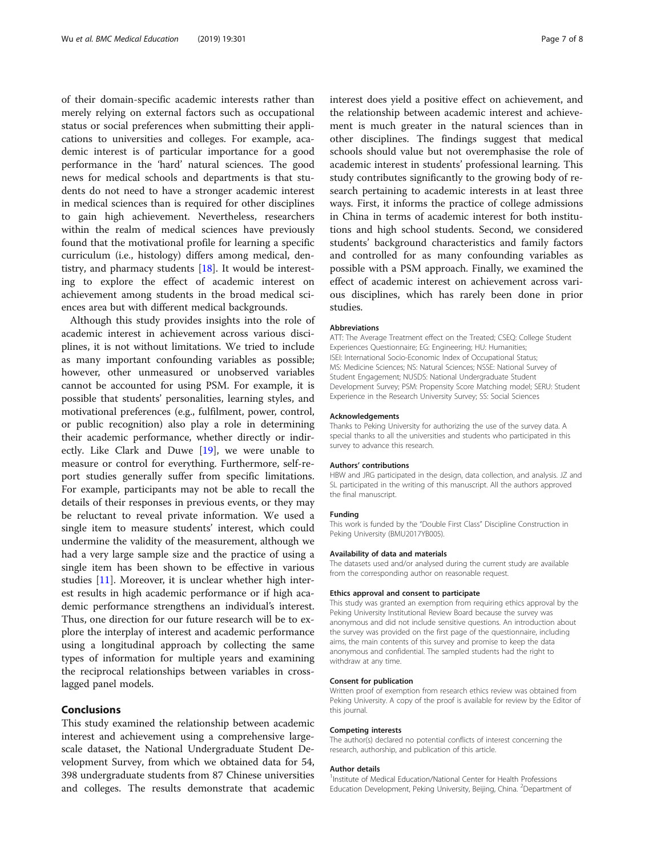of their domain-specific academic interests rather than merely relying on external factors such as occupational status or social preferences when submitting their applications to universities and colleges. For example, academic interest is of particular importance for a good performance in the 'hard' natural sciences. The good news for medical schools and departments is that students do not need to have a stronger academic interest in medical sciences than is required for other disciplines to gain high achievement. Nevertheless, researchers within the realm of medical sciences have previously found that the motivational profile for learning a specific curriculum (i.e., histology) differs among medical, dentistry, and pharmacy students [\[18](#page-7-0)]. It would be interesting to explore the effect of academic interest on achievement among students in the broad medical sciences area but with different medical backgrounds.

Although this study provides insights into the role of academic interest in achievement across various disciplines, it is not without limitations. We tried to include as many important confounding variables as possible; however, other unmeasured or unobserved variables cannot be accounted for using PSM. For example, it is possible that students' personalities, learning styles, and motivational preferences (e.g., fulfilment, power, control, or public recognition) also play a role in determining their academic performance, whether directly or indirectly. Like Clark and Duwe [\[19\]](#page-7-0), we were unable to measure or control for everything. Furthermore, self-report studies generally suffer from specific limitations. For example, participants may not be able to recall the details of their responses in previous events, or they may be reluctant to reveal private information. We used a single item to measure students' interest, which could undermine the validity of the measurement, although we had a very large sample size and the practice of using a single item has been shown to be effective in various studies [[11\]](#page-7-0). Moreover, it is unclear whether high interest results in high academic performance or if high academic performance strengthens an individual's interest. Thus, one direction for our future research will be to explore the interplay of interest and academic performance using a longitudinal approach by collecting the same types of information for multiple years and examining the reciprocal relationships between variables in crosslagged panel models.

# Conclusions

This study examined the relationship between academic interest and achievement using a comprehensive largescale dataset, the National Undergraduate Student Development Survey, from which we obtained data for 54, 398 undergraduate students from 87 Chinese universities and colleges. The results demonstrate that academic interest does yield a positive effect on achievement, and the relationship between academic interest and achievement is much greater in the natural sciences than in other disciplines. The findings suggest that medical schools should value but not overemphasise the role of academic interest in students' professional learning. This study contributes significantly to the growing body of research pertaining to academic interests in at least three ways. First, it informs the practice of college admissions in China in terms of academic interest for both institutions and high school students. Second, we considered students' background characteristics and family factors and controlled for as many confounding variables as possible with a PSM approach. Finally, we examined the effect of academic interest on achievement across various disciplines, which has rarely been done in prior studies.

#### Abbreviations

ATT: The Average Treatment effect on the Treated; CSEQ: College Student Experiences Questionnaire; EG: Engineering; HU: Humanities; ISEI: International Socio-Economic Index of Occupational Status; MS: Medicine Sciences; NS: Natural Sciences; NSSE: National Survey of Student Engagement; NUSDS: National Undergraduate Student Development Survey; PSM: Propensity Score Matching model; SERU: Student Experience in the Research University Survey; SS: Social Sciences

#### Acknowledgements

Thanks to Peking University for authorizing the use of the survey data. A special thanks to all the universities and students who participated in this survey to advance this research.

#### Authors' contributions

HBW and JRG participated in the design, data collection, and analysis. JZ and SL participated in the writing of this manuscript. All the authors approved the final manuscript.

#### Funding

This work is funded by the "Double First Class" Discipline Construction in Peking University (BMU2017YB005).

#### Availability of data and materials

The datasets used and/or analysed during the current study are available from the corresponding author on reasonable request.

#### Ethics approval and consent to participate

This study was granted an exemption from requiring ethics approval by the Peking University Institutional Review Board because the survey was anonymous and did not include sensitive questions. An introduction about the survey was provided on the first page of the questionnaire, including aims, the main contents of this survey and promise to keep the data anonymous and confidential. The sampled students had the right to withdraw at any time.

#### Consent for publication

Written proof of exemption from research ethics review was obtained from Peking University. A copy of the proof is available for review by the Editor of this journal.

#### Competing interests

The author(s) declared no potential conflicts of interest concerning the research, authorship, and publication of this article.

#### Author details

<sup>1</sup>Institute of Medical Education/National Center for Health Professions Education Development, Peking University, Beijing, China. <sup>2</sup>Department of